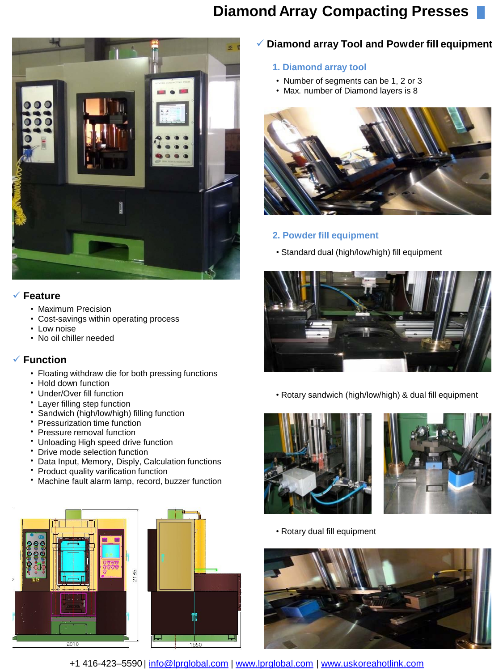## **Diamond Array Compacting Presses**



#### **Feature**

- Maximum Precision
- Cost-savings within operating process
- Low noise
- No oil chiller needed

#### **Function**

- Floating withdraw die for both pressing functions
- Hold down function
- Under/Over fill function
- Layer filling step function
- Sandwich (high/low/high) filling function
- Pressurization time function
- Pressure removal function
- Unloading High speed drive function
- Drive mode selection function
- Data Input, Memory, Disply, Calculation functions
- Product quality varification function
- Machine fault alarm lamp, record, buzzer function





### **Diamond array Tool and Powder fill equipment**

- **1. Diamond array tool**
- Number of segments can be 1, 2 or 3
- Max. number of Diamond layers is 8



### **2. Powder fill equipment**

• Standard dual (high/low/high) fill equipment



• Rotary sandwich (high/low/high) & dual fill equipment





• Rotary dual fill equipment



+1 416-423–5590 | info@lprglobal.com | www.lprglobal.com | [www.uskoreahotlink.com](http://www.uskoreahotlink.com/)